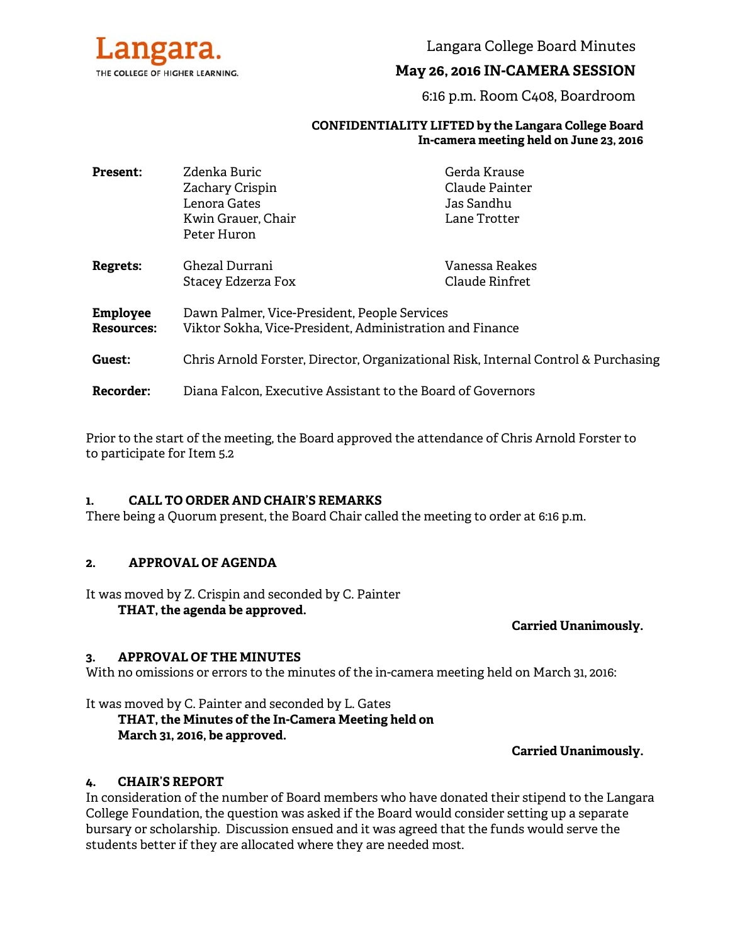

Langara College Board Minutes

# **May 26, 2016 IN-CAMERA SESSION**

6:16 p.m. Room C408, Boardroom

#### **CONFIDENTIALITY LIFTED by the Langara College Board In-camera meeting held on June 23, 2016**

| <b>Present:</b>   | Zdenka Buric<br>Zachary Crispin                                                    | Gerda Krause<br>Claude Painter |
|-------------------|------------------------------------------------------------------------------------|--------------------------------|
|                   | Lenora Gates                                                                       | Jas Sandhu                     |
|                   | Kwin Grauer, Chair                                                                 | Lane Trotter                   |
|                   | Peter Huron                                                                        |                                |
| <b>Regrets:</b>   | Ghezal Durrani                                                                     | Vanessa Reakes                 |
|                   | Stacey Edzerza Fox                                                                 | Claude Rinfret                 |
| <b>Employee</b>   | Dawn Palmer, Vice-President, People Services                                       |                                |
| <b>Resources:</b> | Viktor Sokha, Vice-President, Administration and Finance                           |                                |
| Guest:            | Chris Arnold Forster, Director, Organizational Risk, Internal Control & Purchasing |                                |
|                   |                                                                                    |                                |
| <b>Recorder:</b>  | Diana Falcon, Executive Assistant to the Board of Governors                        |                                |

Prior to the start of the meeting, the Board approved the attendance of Chris Arnold Forster to to participate for Item 5.2

### **1. CALL TO ORDER AND CHAIR'S REMARKS**

There being a Quorum present, the Board Chair called the meeting to order at 6:16 p.m.

### **2. APPROVAL OF AGENDA**

It was moved by Z. Crispin and seconded by C. Painter

**THAT, the agenda be approved.** 

### **Carried Unanimously.**

### **3. APPROVAL OF THE MINUTES**

With no omissions or errors to the minutes of the in-camera meeting held on March 31, 2016:

It was moved by C. Painter and seconded by L. Gates

 **THAT, the Minutes of the In-Camera Meeting held on March 31, 2016, be approved.** 

### **Carried Unanimously.**

### **4. CHAIR'S REPORT**

In consideration of the number of Board members who have donated their stipend to the Langara College Foundation, the question was asked if the Board would consider setting up a separate bursary or scholarship. Discussion ensued and it was agreed that the funds would serve the students better if they are allocated where they are needed most.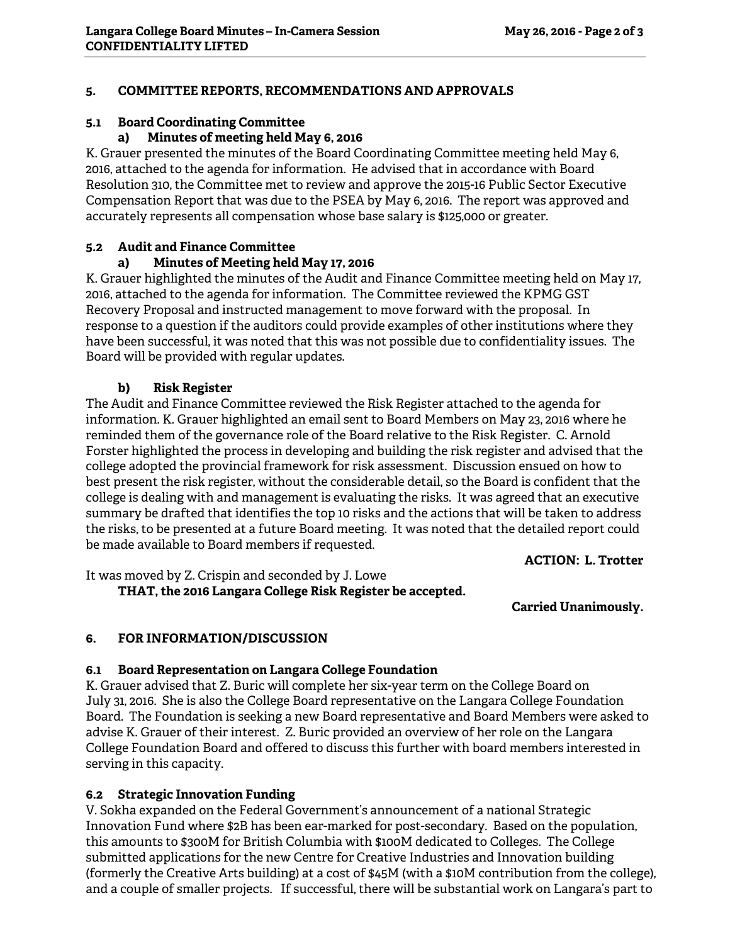## **5. COMMITTEE REPORTS, RECOMMENDATIONS AND APPROVALS**

## **5.1 Board Coordinating Committee**

### **a) Minutes of meeting held May 6, 2016**

K. Grauer presented the minutes of the Board Coordinating Committee meeting held May 6, 2016, attached to the agenda for information. He advised that in accordance with Board Resolution 310, the Committee met to review and approve the 2015-16 Public Sector Executive Compensation Report that was due to the PSEA by May 6, 2016. The report was approved and accurately represents all compensation whose base salary is \$125,000 or greater.

## **5.2 Audit and Finance Committee**

# **a) Minutes of Meeting held May 17, 2016**

K. Grauer highlighted the minutes of the Audit and Finance Committee meeting held on May 17, 2016, attached to the agenda for information. The Committee reviewed the KPMG GST Recovery Proposal and instructed management to move forward with the proposal. In response to a question if the auditors could provide examples of other institutions where they have been successful, it was noted that this was not possible due to confidentiality issues. The Board will be provided with regular updates.

## **b) Risk Register**

The Audit and Finance Committee reviewed the Risk Register attached to the agenda for information. K. Grauer highlighted an email sent to Board Members on May 23, 2016 where he reminded them of the governance role of the Board relative to the Risk Register. C. Arnold Forster highlighted the process in developing and building the risk register and advised that the college adopted the provincial framework for risk assessment. Discussion ensued on how to best present the risk register, without the considerable detail, so the Board is confident that the college is dealing with and management is evaluating the risks. It was agreed that an executive summary be drafted that identifies the top 10 risks and the actions that will be taken to address the risks, to be presented at a future Board meeting. It was noted that the detailed report could be made available to Board members if requested.

**ACTION: L. Trotter** 

It was moved by Z. Crispin and seconded by J. Lowe  **THAT, the 2016 Langara College Risk Register be accepted.** 

**Carried Unanimously.** 

# **6. FOR INFORMATION/DISCUSSION**

### **6.1 Board Representation on Langara College Foundation**

K. Grauer advised that Z. Buric will complete her six-year term on the College Board on July 31, 2016. She is also the College Board representative on the Langara College Foundation Board. The Foundation is seeking a new Board representative and Board Members were asked to advise K. Grauer of their interest. Z. Buric provided an overview of her role on the Langara College Foundation Board and offered to discuss this further with board members interested in serving in this capacity.

# **6.2 Strategic Innovation Funding**

V. Sokha expanded on the Federal Government's announcement of a national Strategic Innovation Fund where \$2B has been ear-marked for post-secondary. Based on the population, this amounts to \$300M for British Columbia with \$100M dedicated to Colleges. The College submitted applications for the new Centre for Creative Industries and Innovation building (formerly the Creative Arts building) at a cost of \$45M (with a \$10M contribution from the college), and a couple of smaller projects. If successful, there will be substantial work on Langara's part to